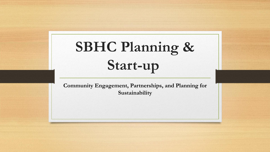# **SBHC Planning & Start-up**

**Community Engagement, Partnerships, and Planning for Sustainability**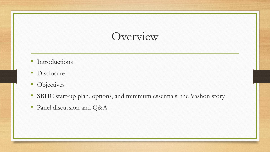### Overview

- Introductions
- Disclosure
- Objectives
- SBHC start-up plan, options, and minimum essentials: the Vashon story
- Panel discussion and Q&A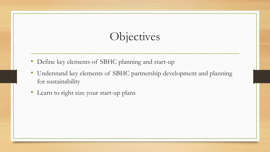# Objectives

- Define key elements of SBHC planning and start-up
- Understand key elements of SBHC partnership development and planning for sustainability
- Learn to right size your start-up plans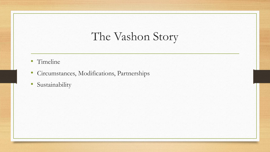# The Vashon Story

- Timeline
- Circumstances, Modifications, Partnerships
- Sustainability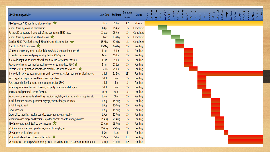| <b>SBHC Planning Activity</b>                                                              | <b>Start Date</b> End Date |           | <b>Duration</b><br>(days) | <b>Status</b> | $31-Na$<br>$15-Ma$ | LApr | L5-Apr | VeW-1<br>29-Apr | L5-May | $29 - Ma$ | Bun | $15 - Jun$<br>$29$ -Jun | $1 - J$ ul | $15 - J$ ul | $29 -111$ | L-Aug | 15-Aug<br>$29 - Aug$ | $-5ep$ | 15-Sep | 30-Sep | $L5-Oct$<br>$1-0ct$ | $31-0ct$ | $1-Nov$ | $30-Nov$<br>$15-Nov$ |
|--------------------------------------------------------------------------------------------|----------------------------|-----------|---------------------------|---------------|--------------------|------|--------|-----------------|--------|-----------|-----|-------------------------|------------|-------------|-----------|-------|----------------------|--------|--------|--------|---------------------|----------|---------|----------------------|
| SBHC sponsor & SD admin. regular meetings                                                  | 1-Mar                      | 31-Dec    | 306                       | In Process    |                    |      |        |                 |        |           |     |                         |            |             |           |       |                      |        |        |        |                     |          |         |                      |
| School Board approval of partnership                                                       | 1-Apr                      | 15-Apr    | 15                        | Completed     |                    |      |        |                 |        |           |     |                         |            |             |           |       |                      |        |        |        |                     |          |         |                      |
| Partners ID temporary (if applicable) and permanent SBHC space                             | 15-Apr                     | 29-Apr    | 15                        | Completed     |                    |      |        |                 |        |           |     |                         |            |             |           |       |                      |        |        |        |                     |          |         |                      |
| School Board approval of MOU and Lease                                                     | 1-May                      | 15-May    | 15                        | Completed     |                    |      |        |                 |        |           |     |                         |            |             |           |       |                      |        |        |        |                     |          |         |                      |
| Develop SBHC FAQs & share with SD admin. for dissemination                                 | 15-May                     | 29-May    | 15                        | Completed     |                    |      |        |                 |        |           |     |                         |            |             |           |       |                      |        |        |        |                     |          |         |                      |
| Post JDs for SBHC positions                                                                | 15-May                     | 29-May    | 15                        | Pending       |                    |      |        |                 |        |           |     |                         |            |             |           |       |                      |        |        |        |                     |          |         |                      |
| SD admin. shares key back-to-school dates w/ SBHC sponsor for outreach                     | $1$ -Jun                   | 15-Jun    | 15                        | Pending       |                    |      |        |                 |        |           |     |                         |            |             |           |       |                      |        |        |        |                     |          |         |                      |
| IT needs assessment and programming list for SBHC space                                    | $1$ -Jun                   | 15-Jun    | 15                        | Pending       |                    |      |        |                 |        |           |     |                         |            |             |           |       |                      |        |        |        |                     |          |         |                      |
| If remodelling: finalize scope of work and timeline for permanent SBHC                     | $1$ -Jun                   | 15-Jun    | 15                        | Pending       |                    |      |        |                 |        |           |     |                         |            |             |           |       |                      |        |        |        |                     |          |         |                      |
| Set-up meetings w/ community health providers to introduce SBHC                            | $1$ -Jun                   | 15-Jun    | 15                        | Pending       |                    |      |        |                 |        |           |     |                         |            |             |           |       |                      |        |        |        |                     |          |         |                      |
| <b>Prepare SBHC Registration packets and brochures to send to families</b>                 | 15-Jun                     | 29-Jun    | 15                        | Pending       |                    |      |        |                 |        |           |     |                         |            |             |           |       |                      |        |        |        |                     |          |         |                      |
| If remodelling: Construction planning, design, pre-construction, permitting, bidding, etc. | $1$ -Jul                   | 31-Dec    | 184                       | Pending       |                    |      |        |                 |        |           |     |                         |            |             |           |       |                      |        |        |        |                     |          |         |                      |
| Send Registration packets and brochures to printers                                        | $1$ -Jul                   | $15$ -Jul | 15                        | Pending       |                    |      |        |                 |        |           |     |                         |            |             |           |       |                      |        |        |        |                     |          |         |                      |
| Purchase/order furniture and minor equipment for SBHC                                      | $1$ -Jul                   | $15$ -Jul | 15                        | Pending       |                    |      |        |                 |        |           |     |                         |            |             |           |       |                      |        |        |        |                     |          |         |                      |
| Submit applications: business licences, property tax exempt status, etc.                   | $1$ -Jul                   | $15$ -Jul | 15                        | Pending       |                    |      |        |                 |        |           |     |                         |            |             |           |       |                      |        |        |        |                     |          |         |                      |
| ID contracted janitorial service for SBHC                                                  | $15$ -Jul                  | $29$ -Jul | 15                        | Pending       |                    |      |        |                 |        |           |     |                         |            |             |           |       |                      |        |        |        |                     |          |         |                      |
| Set-up service agreements: shredding, medical gas, labs, office and medical supplies, etc. | $15$ -Jul                  | $29$ -Jul | 15                        | Pending       |                    |      |        |                 |        |           |     |                         |            |             |           |       |                      |        |        |        |                     |          |         |                      |
| Install furniture, minor equipment, signage, vaccine fridge and freezer                    | 1-Aug                      | 15-Aug    | 15                        | Pending       |                    |      |        |                 |        |           |     |                         |            |             |           |       |                      |        |        |        |                     |          |         |                      |
| Install IT equipment                                                                       | 1-Aug                      | 15-Aug    | 15                        | Pending       |                    |      |        |                 |        |           |     |                         |            |             |           |       |                      |        |        |        |                     |          |         |                      |
| <b>Order vaccines</b>                                                                      | 1-Aug                      | 15-Aug    | 15                        | Pending       |                    |      |        |                 |        |           |     |                         |            |             |           |       |                      |        |        |        |                     |          |         |                      |
| Order office supplies, medical supplies, student outreach supplies                         | 1-Aug                      | 15-Aug    | 15                        | Pending       |                    |      |        |                 |        |           |     |                         |            |             |           |       |                      |        |        |        |                     |          |         |                      |
| Monitor vaccine fridge and freezer temps for 2 weeks prior to storing vaccines             | 15-Aug                     | 29-Aug    | 15                        | Pending       |                    |      |        |                 |        |           |     |                         |            |             |           |       |                      |        |        |        |                     |          |         |                      |
| SBHC presented at All -Staff school meeting                                                | 15-Aug                     | 29-Aug    | 15                        | Pending       |                    |      |        |                 |        |           |     |                         |            |             |           |       |                      |        |        |        |                     |          |         |                      |
| SBHC outreach at school open house, curriculum night, etc.                                 | 15-Aug                     | 29-Aug    | 15                        | Pending       |                    |      |        |                 |        |           |     |                         |            |             |           |       |                      |        |        |        |                     |          |         |                      |
| SBHC opens on 1st day of school                                                            | 1-Sep                      | $1-Sep$   | $\mathbf{1}$              | Pending       |                    |      |        |                 |        |           |     |                         |            |             |           |       |                      |        |        |        |                     |          |         |                      |
| SBHC conducts outreach during fall months                                                  | 15-Sep                     | 31-Dec    | 108                       | Pending       |                    |      |        |                 |        |           |     |                         |            |             |           |       |                      |        |        |        |                     |          |         |                      |
| Set-up regular meetings w/ community health providers to discuss SBHC implementation       | $15-Sep$                   | 31-Dec    | 108                       | Pending       |                    |      |        |                 |        |           |     |                         |            |             |           |       |                      |        |        |        |                     |          |         |                      |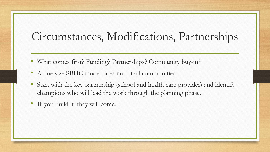## Circumstances, Modifications, Partnerships

- What comes first? Funding? Partnerships? Community buy-in?
- A one size SBHC model does not fit all communities.
- Start with the key partnership (school and health care provider) and identify champions who will lead the work through the planning phase.
- If you build it, they will come.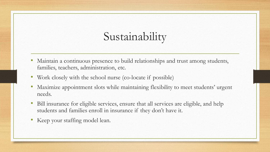# Sustainability

- Maintain a continuous presence to build relationships and trust among students, families, teachers, administration, etc.
- Work closely with the school nurse (co-locate if possible)
- Maximize appointment slots while maintaining flexibility to meet students' urgent needs.
- Bill insurance for eligible services, ensure that all services are eligible, and help students and families enroll in insurance if they don't have it.
- Keep your staffing model lean.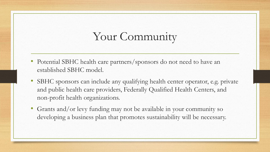## Your Community

- Potential SBHC health care partners/sponsors do not need to have an established SBHC model.
- SBHC sponsors can include any qualifying health center operator, e.g. private and public health care providers, Federally Qualified Health Centers, and non-profit health organizations.
- Grants and/or levy funding may not be available in your community so developing a business plan that promotes sustainability will be necessary.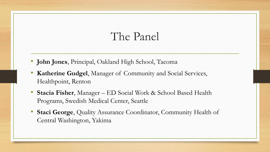#### The Panel

- **John Jones**, Principal, Oakland High School, Tacoma
- **Katherine Gudgel**, Manager of Community and Social Services, Healthpoint, Renton
- **Stacia Fisher**, Manager ED Social Work & School Based Health Programs, Swedish Medical Center, Seattle
- **Staci George**, Quality Assurance Coordinator, Community Health of Central Washington, Yakima